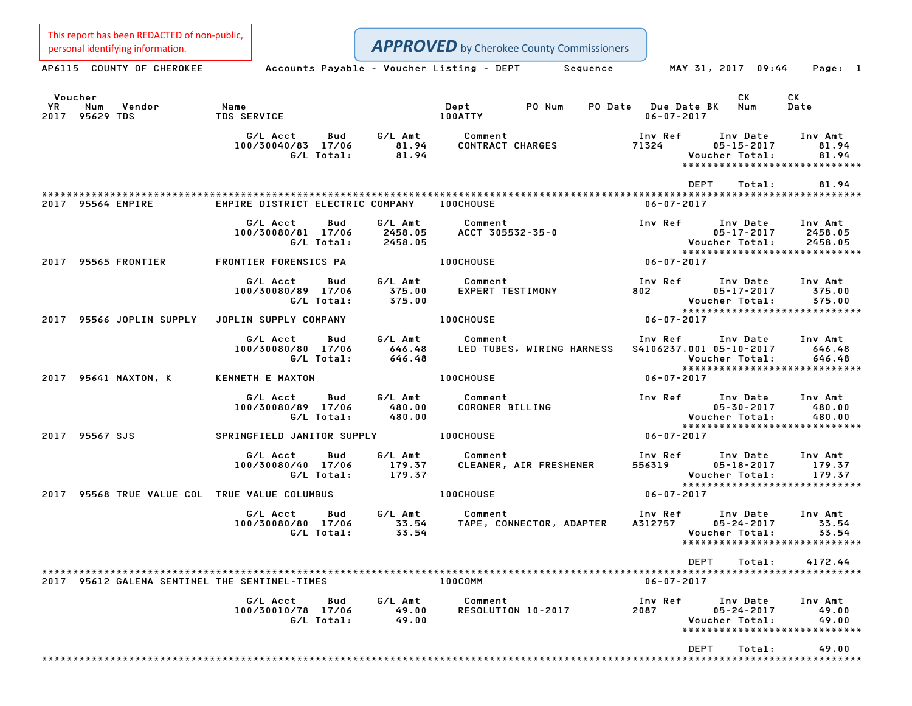Personal identifying information.<br>
AP6115 COUNTY OF CHEROKEE Accounts Payable - Voucher Listing - DEPT Sequence MAY 31, 2017 09:44 Page: 1 Voucher CK CK YR Num Vendor Name Dept PO Num PO Date Due Date BK Num Date <sup>2017</sup> <sup>95629</sup> TDS TDS SERVICE 100ATTY 06-07-2017 G/L Acct Bud G/L Amt Comment Inv Ref Inv Date Inv Amt 4 G/L Acct Bud G/L Amt Comment Inv Ref Inv Date Inv Amt <br>100/30040/83 17/06 81.94 CONTRACT CHARGES 71324 05–15–2017 81.94 G/L Total: 81.94 Voucher Total: 81.94 \* 05-15-2017<br>Voucher Total: 81.94<br>\*\*\*\*\*\*\*\*\*\*\*\*\*\*\*\*\*\*\*\*\*\*\*\*\*\*\*\*\*\* \*\*\*\*\*\*\*\*\*\*\*\*\*\*\*\*\*\*\*\*\*\*\*\*<br>DEPT Total: 81.94 \*\*\*\*\*\*\*\*\*\*\*\*\*\*\*\*\*\*\*\*\*\*\*\*\*\*\*\*\*\*\*\*\*\*\*\*\*\*\*\*\*\*\*\*\*\*\*\*\*\*\*\*\*\*\*\*\*\*\*\*\*\*\*\*\*\*\*\*\*\*\*\*\*\*\*\*\*\*\*\*\*\*\*\*\*\*\*\*\*\*\*\*\*\*\*\*\*\*\*\*\*\*\*\*\*\*\*\*\*\*\*\*\*\*\*\*\*\*\*\*\*\*\*\*\*\*\*\*\*\*\*\* <sup>2017</sup> <sup>95564</sup> EMPIRE EMPIRE DISTRICT ELECTRIC COMPANY 100CHOUSE 06-07-2017 G/L Acct Bud G/L Amt Comment Inv Ref Inv Date Inv Amt 100/30080/81 17/06 2458.05 ACCT 305532-35-0 05-17-2017 2458.05 G/L Total: 2458.05 Voucher Total: 2458.05 \*\*\*\*\*\*\*\*\*\*\*\*\*\*\*\*\*\*\*\*\*\*\*\*\*\*\*\*\* <sup>2017</sup> <sup>95565</sup> FRONTIER FRONTIER FORENSICS PA 100CHOUSE 06-07-2017 G/L Acct Bud G/L Amt Comment Inv Ref Inv Date Inv Amt 100/30080/89 17/06 375.00 EXPERT TESTIMONY <sup>802</sup> 05-17-2017 375.00 G/L Total: 375.00 Voucher Total: 375.00 05-17-2017 375.00<br>
Voucher Total: 375.00<br>
\*\*\*\*\*\*\*\*\*\*\*\*\*\*\*\*\*\*\*\*\*\*\*\*\*\*\*\*\* 100/30080/89 17/06 375.00 EXPERT TESTIMONY 802<br>G/L Total: 375.00 EXPERT TESTIMONY 95566 JOPLIN SUPPLY JOPLIN SUPPLY COMPANY<br>2017 95566 JOPLIN SUPPLY JOPLIN SUPPLY COMPANY 100CHOUSE 100CHOUSE 06-07-2017 G/L Acct Bud G/L Amt Comment Inv Ref Inv Date Inv Amt 100/30080/80 17/06 646.48 LED TUBES, WIRING HARNESS S4106237.001 05-10-2017 646.48 G/L Total: 646.48 Voucher Total: 646.48 \*\*\*\*\*\*\*\*\*\*\*\*\*\*\*\*\*\*\*\*\*\*\*\*\*\*\*\*\* <sup>2017</sup> <sup>95641</sup> MAXTON, <sup>K</sup> KENNETH <sup>E</sup> MAXTON 100CHOUSE 06-07-2017 G/L Acct Bud G/L Amt Comment Inv Ref Inv Date Inv Amt 100/30080/89 17/06 480.00 CORONER BILLING 05-30-2017 480.00 G/L Total: 480.00 Voucher Total: 480.00 \*\*\*\*\*\*\*\*\*\*\*\*\*\*\*\*\*\*\*\*\*\*\*\*\*\*\*\*\* 2017 Vou<br>\*\*\*\* Vou<br>2017 95567 SJS SPRINGFIELD JANITOR SUPPLY 100CHOUSE 100CHOUSE 106-07-2017 G/L Acct Bud G/L Amt Comment Inv Ref Inv Date Inv Amt 100/30080/40 17/06 179.37 CLEANER, AIR FRESHENER <sup>556319</sup> 05-18-2017 179.37 G/L Total: 179.37 Voucher Total: 179.37 05-18-2017 179.37<br>Voucher Total: 179.37<br>\*\*\*\*\*\*\*\*\*\*\*\*\*\*\*\*\*\*\*\*\*\*\*\*\*\*\*\*\*\* <sup>2017</sup> <sup>95568</sup> TRUE VALUE COL TRUE VALUE COLUMBUS 100CHOUSE 06-07-2017 G/L Acct Bud G/L Amt Comment Inv Ref Inv Date Inv Amt 100/30080/80 17/06 33.54 TAPE, CONNECTOR, ADAPTER A312757 05-24-2017 33.54 G/L Total: 33.54 Voucher Total: 33.54 \*\*\*\*\*\*\*\*\*\*\*\*\*\*\*\*\*\*\*\*\*\*\*\*\*\*\*\*\* \*\*\*\*\*\*\*\*\*\*\*\*\*\*\*\*\*\*\*\*\*\*\*\*<br>DEPT Total: 4172.44 \*\*\*\*\*\*\*\*\*\*\*\*\*\*\*\*\*\*\*\*\*\*\*\*\*\*\*\*\*\*\*\*\*\*\*\*\*\*\*\*\*\*\*\*\*\*\*\*\*\*\*\*\*\*\*\*\*\*\*\*\*\*\*\*\*\*\*\*\*\*\*\*\*\*\*\*\*\*\*\*\*\*\*\*\*\*\*\*\*\*\*\*\*\*\*\*\*\*\*\*\*\*\*\*\*\*\*\*\*\*\*\*\*\*\*\*\*\*\*\*\*\*\*\*\*\*\*\*\*\*\*\* <sup>2017</sup> <sup>95612</sup> GALENA SENTINEL THE SENTINEL-TIMES 100COMM 06-07-2017 G/L Acct Bud G/L Amt Comment Inv Ref Inv Date Inv Amt 100/30010/78 17/06 49.00 RESOLUTION 10-2017 <sup>2087</sup> 05-24-2017 49.00 G/L Total: 49.00 Voucher Total: 49.00 \*\*\*\*\*\*\*\*\*\*\*\*\*\*\*\*\*\*\*\*\*\*\*\*\*\*\*\*\* \*\*\*\*\*\*\*\*\*\*\*\*\*\*\*\*\*\*\*\*\*\*\*\*<br>DEPT Total: 49.00 \*\*\*\*\*\*\*\*\*\*\*\*\*\*\*\*\*\*\*\*\*\*\*\*\*\*\*\*\*\*\*\*\*\*\*\*\*\*\*\*\*\*\*\*\*\*\*\*\*\*\*\*\*\*\*\*\*\*\*\*\*\*\*\*\*\*\*\*\*\*\*\*\*\*\*\*\*\*\*\*\*\*\*\*\*\*\*\*\*\*\*\*\*\*\*\*\*\*\*\*\*\*\*\*\*\*\*\*\*\*\*\*\*\*\*\*\*\*\*\*\*\*\*\*\*\*\*\*\*\*\*\* This report has been REDACTED of non-public, **APPROVED** by Cherokee County Commissioners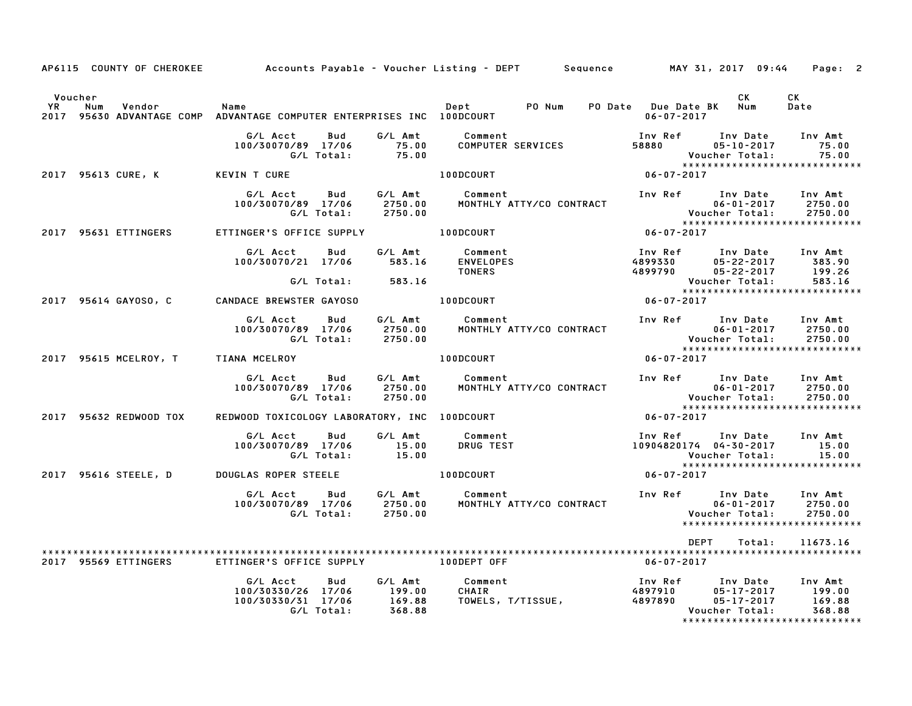| AP6115 COUNTY OF CHEROKEE                                                                                |                                                                           |                                       | Accounts Payable – Voucher Listing – DEPT        Sequence          MAY 31, 2017  09:44    Page:  2 |                                                 |                                                                      |                                                                                                       |
|----------------------------------------------------------------------------------------------------------|---------------------------------------------------------------------------|---------------------------------------|----------------------------------------------------------------------------------------------------|-------------------------------------------------|----------------------------------------------------------------------|-------------------------------------------------------------------------------------------------------|
| Voucher<br>YR<br>Num<br>Vendor<br>2017 95630 ADVANTAGE COMP ADVANTAGE COMPUTER ENTERPRISES INC 100DCOURT | Name                                                                      |                                       |                                                                                                    | $06 - 07 - 2017$                                | CK .                                                                 | CK<br>Date                                                                                            |
|                                                                                                          | G/L Acct<br>Bud<br>100/30070/89 17/06<br>G/L Total:                       | G/L Amt<br>75.00<br>75.00             | Comment<br>COMPUTER SERVICES                                                                       | Inv Ref<br>58880                                | Inv Date<br>$05 - 10 - 2017$<br>Voucher Total:                       | Inv Amt<br>75.00<br>75.00                                                                             |
| 2017 95613 CURE, K                                                                                       | KEVIN T CURE                                                              |                                       | 100DCOURT                                                                                          | $06 - 07 - 2017$                                |                                                                      | *****************************                                                                         |
|                                                                                                          | G/L Acct<br>Bud<br>100/30070/89 17/06<br>G/L Total:                       | G/L Amt<br>2750.00<br>2750.00         | Comment<br>MONTHLY ATTY/CO CONTRACT                                                                | Inv Ref      Inv Date                           |                                                                      | Inv Amt<br>1 2017<br>06-01-2017 2750.00<br>Voucher Total: 2750.00<br>*******************************  |
| 2017 95631 ETTINGERS                                                                                     | ETTINGER'S OFFICE SUPPLY 100DCOURT                                        |                                       |                                                                                                    | $06 - 07 - 2017$                                |                                                                      |                                                                                                       |
|                                                                                                          | G/L Acct Bud<br>100/30070/21 17/06                                        | G/L Amt<br>583.16                     | Comment<br><b>ENVELOPES</b><br><b>TONERS</b>                                                       | Inv Ref Inv Date Inv Amt<br>4899330<br>4899790  | 05-22-2017 383.90<br>05-22-2017                                      | 199.26                                                                                                |
|                                                                                                          | G/L Total:                                                                | 583.16                                |                                                                                                    |                                                 |                                                                      | Voucher Total: 583.16<br>****************************                                                 |
| 2017 95614 GAY0SO, C                                                                                     | <b>CANDACE BREWSTER GAYOSO</b>                                            |                                       | 100DCOURT                                                                                          | $06 - 07 - 2017$                                |                                                                      |                                                                                                       |
|                                                                                                          | G/L Acct<br>Bud<br>100/30070/89 17/06<br>G/L Total:                       | 2750.00<br>2750.00                    | G/L Amt Comment<br>MONTHLY ATTY/CO CONTRACT                                                        | Inv Ref      Inv Date     Inv Amt               | $06 - 01 - 2017$<br>Voucher Total:<br>*****************              | 2750.00<br>2750.00                                                                                    |
| 2017 95615 MCELROY, T TIANA MCELROY                                                                      |                                                                           |                                       | 100DCOURT                                                                                          | $06 - 07 - 2017$                                |                                                                      | *****************************                                                                         |
|                                                                                                          | G/L Acct<br>Bud<br>100/30070/89 17/06<br>G/L Total:                       | G⁄L Amt<br>2750.00<br>2750.00         | Comment<br>MONTHLY ATTY/CO CONTRACT                                                                | Inv Ref Inv Date                                |                                                                      | Inv Amt<br>1117 Net<br>06-01-2017 2750.00<br>Voucher Total: 2750.00<br>****************************** |
| 2017 95632 REDWOOD TOX                                                                                   | REDWOOD TOXICOLOGY LABORATORY, INC 100DCOURT                              |                                       |                                                                                                    | $06 - 07 - 2017$                                |                                                                      |                                                                                                       |
|                                                                                                          | G/L Acct<br>Bud<br>100/30070/89 17/06<br>G/L Total: 15.00                 | G/L Amt<br>15.00                      | Comment<br><b>DRUG TEST</b>                                                                        | Inv Ref      Inv Date<br>10904820174 04-30-2017 | Voucher Total:                                                       | Inv Amt<br>15.00<br>15.00                                                                             |
| 2017 95616 STEELE, D DOUGLAS ROPER STEELE                                                                |                                                                           |                                       | 100DCOURT                                                                                          | $06 - 07 - 2017$                                |                                                                      | *****************************                                                                         |
|                                                                                                          | G/L Acct<br>Bud<br>100/30070/89 17/06<br>G/L Total:                       | 2750.00                               | MONTHLY ATTY/CO CONTRACT                                                                           | Inv Ref      Inv Date                           |                                                                      | Inv Amt<br>2750.00<br>2750.00<br>*****************************                                        |
| 2017 95569 ETTINGERS                                                                                     | ETTINGER'S OFFICE SUPPLY                                                  |                                       | 100DEPT OFF                                                                                        | DEPT<br>06-07-2017                              | Total:                                                               | 11673.16                                                                                              |
|                                                                                                          | G/L Acct<br>Bud<br>100/30330/26 17/06<br>100/30330/31 17/06<br>G/L Total: | G/L Amt<br>199.00<br>169.88<br>368.88 | Comment<br>CHAIR<br>TOWELS, T/TISSUE,                                                              | Inv Ref<br>4897910<br>4897890                   | Inv Date Inv Amt<br>$05 - 17 - 2017$<br>05-17-2017<br>Voucher Total: | 199.00<br>169.88<br>368.88                                                                            |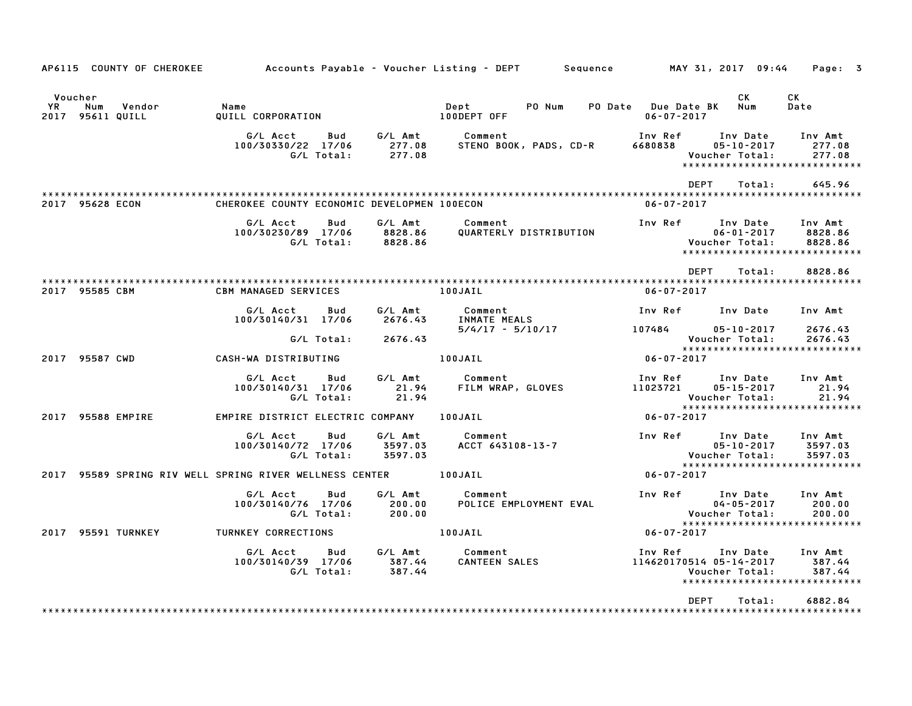| AP6115 COUNTY OF CHEROKEE                          |                                                                 |                          |                               |                                   |                        | Accounts Payable – Voucher Listing – DEPT        Sequence          MAY 31, 2017 09:44     Page:   3 |                                                        |                                                                |
|----------------------------------------------------|-----------------------------------------------------------------|--------------------------|-------------------------------|-----------------------------------|------------------------|-----------------------------------------------------------------------------------------------------|--------------------------------------------------------|----------------------------------------------------------------|
| Voucher<br>YR<br>Num<br>Vendor<br>2017 95611 QUILL | Name<br>QUILL CORPORATION                                       |                          |                               | Dept<br>100DEPT OFF               | PO Num                 | PO Date Due Date BK Num<br>$06 - 07 - 2017$                                                         | CK.                                                    | CK<br>Date                                                     |
|                                                    | G/L Acct<br>100/30330/22 17/06                                  | <b>Bud</b><br>G/L Total: | G/L Amt<br>277.08<br>277.08   | Comment<br>STENO BOOK, PADS, CD-R |                        | Inv Ref<br>6680838                                                                                  | Inv Date<br>$05 - 10 - 2017$<br>Voucher Total:         | Inv Amt<br>277.08<br>277.08<br>*****************************   |
|                                                    |                                                                 |                          |                               |                                   |                        | <b>DFPT</b>                                                                                         | Total:                                                 | 645.96                                                         |
| 2017 95628 ECON                                    | CHEROKEE COUNTY ECONOMIC DEVELOPMEN 100ECON                     |                          |                               |                                   |                        | $06 - 07 - 2017$                                                                                    |                                                        |                                                                |
|                                                    | G/L Acct<br>100/30230/89 17/06                                  | Bud<br>G/L Total:        | G/L Amt<br>8828.86<br>8828.86 | Comment                           | QUARTERLY DISTRIBUTION | Inv Ref                                                                                             | Inv Date<br>$06 - 01 - 2017$<br>Voucher Total:         | Inv Amt<br>8828.86<br>8828.86<br>***************************** |
|                                                    |                                                                 |                          |                               |                                   |                        | <b>DEPT</b>                                                                                         | Total:                                                 | 8828.86                                                        |
| 2017 95585 CBM                                     | <b>CBM MANAGED SERVICES</b>                                     |                          |                               | 100JAIL                           |                        | $06 - 07 - 2017$                                                                                    |                                                        |                                                                |
|                                                    | G/L Acct<br>100/30140/31 17/06                                  | Bud                      | G/L Amt<br>2676.43            | Comment<br>INMATE MEALS           |                        | Inv Ref      Inv Date                                                                               |                                                        | Inv Amt                                                        |
|                                                    |                                                                 | G/L Total:               | 2676.43                       |                                   |                        | $5/4/17 - 5/10/17$ 107484                                                                           | $05 - 10 - 2017$<br>Voucher Total:                     | 2676.43<br>2676.43                                             |
| 2017 95587 CWD                                     | CASH-WA DISTRIBUTING                                            |                          |                               | 100JAIL                           |                        | $06 - 07 - 2017$                                                                                    |                                                        | ******************************                                 |
|                                                    | G/L Acct<br>100/30140/31 17/06                                  | Bud<br>G/L Total:        | G/L Amt<br>21.94<br>21.94     | Comment<br>FILM WRAP, GLOVES      |                        | Inv Ref<br>11023721                                                                                 | Inv Date<br>$05 - 15 - 2017$<br>Voucher Total:         | Inv Amt<br>21.94<br>21.94                                      |
| 2017 95588 EMPIRE                                  | EMPIRE DISTRICT ELECTRIC COMPANY 100JAIL                        |                          |                               |                                   |                        | 06-07-2017                                                                                          |                                                        | *****************************                                  |
|                                                    | G/L Acct<br>100/30140/72 17/06                                  | Bud<br>G/L Total:        | G/L Amt<br>3597.03<br>3597.03 | Comment<br>ACCT 643108-13-7       |                        | Inv Ref                                                                                             | Inv Date<br>$05 - 10 - 2017$<br>Voucher Total:         | Inv Amt<br>3597.03<br>3597.03                                  |
|                                                    | 2017 95589 SPRING RIV WELL SPRING RIVER WELLNESS CENTER 100JAIL |                          |                               |                                   |                        | $06 - 07 - 2017$                                                                                    |                                                        | ******************************                                 |
|                                                    | G/L Acct<br>100/30140/76 17/06                                  | Bud<br>G/L Total:        | G/L Amt<br>200.00<br>200.00   | Comment                           | POLICE EMPLOYMENT EVAL |                                                                                                     | Inv Ref Inv Date<br>$04 - 05 - 2017$<br>Voucher Total: | Inv Amt<br>200.00<br>200.00                                    |
| 2017 95591 TURNKEY                                 | TURNKEY CORRECTIONS                                             |                          |                               | 100JAIL                           |                        | $06 - 07 - 2017$                                                                                    |                                                        | *****************************                                  |
|                                                    | G/L Acct<br>100/30140/39 17/06                                  | Bud<br>G/L Total:        | G/L Amt<br>387.44<br>387.44   | Comment<br>CANTEEN SALES          |                        | Inv Ref<br>114620170514 05-14-2017                                                                  | Inv Date<br>Voucher Total:                             | Inv Amt<br>387.44<br>387.44<br>*****************************   |
|                                                    |                                                                 |                          |                               |                                   |                        | <b>DEPT</b>                                                                                         | Total:                                                 | 6882.84                                                        |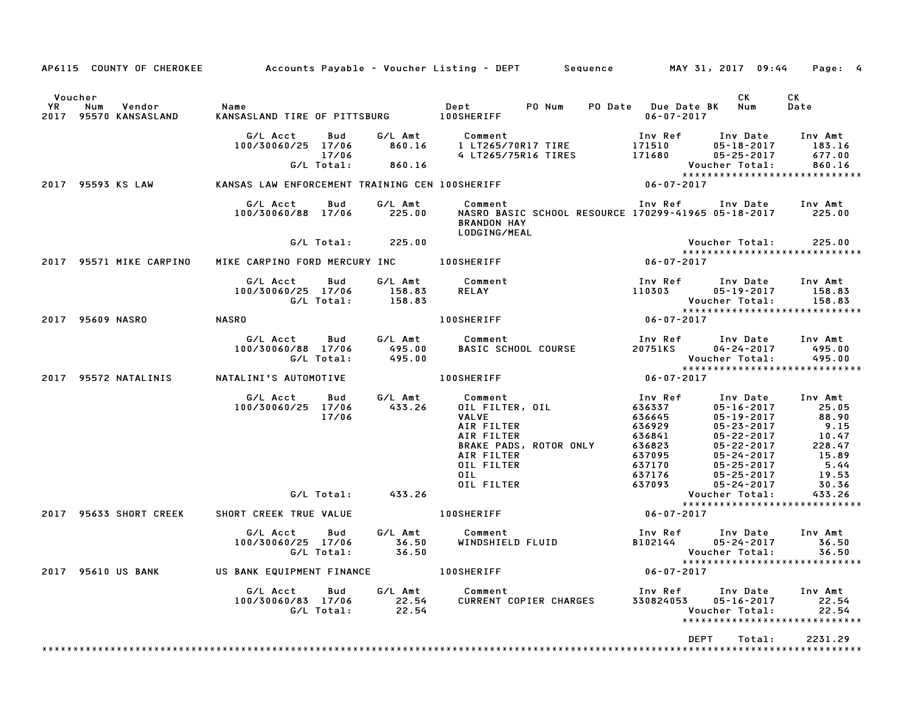|                                                                |                                                              |                             | AP6115 COUNTY OF CHEROKEE Accounts Payable - Voucher Listing - DEPT Sequence MAY 31, 2017 09:44                                                   |                                                                                                                                                                                                                                                                                       | Page: 4                                                                                 |
|----------------------------------------------------------------|--------------------------------------------------------------|-----------------------------|---------------------------------------------------------------------------------------------------------------------------------------------------|---------------------------------------------------------------------------------------------------------------------------------------------------------------------------------------------------------------------------------------------------------------------------------------|-----------------------------------------------------------------------------------------|
| Voucher<br><b>YR</b><br>Num<br>Vendor<br>2017 95570 KANSASLAND | Name<br>KANSASLAND TIRE OF PITTSBURG 100SHERIFF              |                             | PO Num<br>Dept                                                                                                                                    | CK<br>PO Date Due Date BK Num<br>$06 - 07 - 2017$                                                                                                                                                                                                                                     | СK<br>Date                                                                              |
|                                                                | G/L Acct<br>Bud<br>100/30060/25 17/06<br>17/06<br>G/L Total: | G/L Amt<br>860.16<br>860.16 | Comment<br>1 LT265/70R17 TIRE<br>4 LT265/75R16 TIRES                                                                                              | Inv Ref<br>Inv Date<br>171510<br>$05 - 18 - 2017$<br>171680<br>$05 - 25 - 2017$<br>Voucher Total:                                                                                                                                                                                     | Inv Amt<br>183.16<br>677.00<br>860.16                                                   |
| 2017 95593 KS LAW                                              | KANSAS LAW ENFORCEMENT TRAINING CEN 100SHERIFF               |                             |                                                                                                                                                   | *****************************<br>06-07-2017                                                                                                                                                                                                                                           |                                                                                         |
|                                                                | G/L Acct<br>Bud<br>100/30060/88 17/06                        | G/L Amt<br>225.00           | Comment<br>NASRO BASIC SCHOOL RESOURCE 170299-41965 05-18-2017 225.00<br><b>BRANDON HAY</b><br>LODGING/MEAL                                       | Inv Ref Inv Date Inv Amt                                                                                                                                                                                                                                                              |                                                                                         |
|                                                                | G/L Total:                                                   | 225.00                      |                                                                                                                                                   | Voucher Total:                                                                                                                                                                                                                                                                        | 225.00                                                                                  |
| 2017 95571 MIKE CARPINO                                        | MIKE CARPINO FORD MERCURY INC                                |                             | <b>100SHERIFF</b>                                                                                                                                 | *****************************<br>06-07-2017                                                                                                                                                                                                                                           |                                                                                         |
|                                                                | G/L Acct<br>Bud<br>100/30060/25 17/06<br>G/L Total:          | G/L Amt<br>158.83<br>158.83 | Comment<br>RELAY                                                                                                                                  | Inv Ref<br>Inv Date<br>110303<br>$05 - 19 - 2017$<br>Voucher Total:                                                                                                                                                                                                                   | Inv Amt<br>158.83<br>158.83                                                             |
| 2017 95609 NASRO                                               | NASRO                                                        |                             | <b>100SHERIFF</b>                                                                                                                                 | *****************************<br>$06 - 07 - 2017$                                                                                                                                                                                                                                     |                                                                                         |
|                                                                | G/L Acct<br>Bud<br>100/30060/88 17/06<br>G/L Total:          | G/L Amt<br>495.00<br>495.00 | Comment<br><b>BASIC SCHOOL COURSE</b>                                                                                                             | Inv Ref      Inv Date<br>20751KS<br>04-24-2017<br>Voucher Total:                                                                                                                                                                                                                      | Inv Amt<br>495.00<br>495.00                                                             |
| 95572 NATALINIS<br>2017                                        | NATALINI'S AUTOMOTIVE                                        |                             | <b>100SHERIFF</b>                                                                                                                                 | ******************************<br>$06 - 07 - 2017$                                                                                                                                                                                                                                    |                                                                                         |
|                                                                | G/L Acct<br>Bud<br>100/30060/25 17/06<br>17/06               | G/L Amt<br>433.26           | Comment<br>OIL FILTER, OIL<br><b>VALVE</b><br>AIR FILTER<br>AIR FILTER<br>BRAKE PADS, ROTOR ONLY<br>AIR FILTER<br>OIL FILTER<br>OIL<br>OIL FILTER | Inv Date<br>Inv Ref<br>636337<br>$05 - 16 - 2017$<br>636645<br>$05 - 19 - 2017$<br>636929<br>$05 - 23 - 2017$<br>636841<br>$05 - 22 - 2017$<br>636823<br>$05 - 22 - 2017$<br>637095<br>05-24-2017<br>637170<br>$05 - 25 - 2017$<br>637176<br>05-25-2017<br>637093<br>$05 - 24 - 2017$ | Inv Amt<br>25.05<br>88.90<br>9.15<br>10.47<br>228.47<br>15.89<br>5.44<br>19.53<br>30.36 |
|                                                                | G/L Total:                                                   | 433.26                      |                                                                                                                                                   | Voucher Total:<br>*****************************                                                                                                                                                                                                                                       | 433.26                                                                                  |
| 95633 SHORT CREEK<br>2017                                      | SHORT CREEK TRUE VALUE                                       |                             | <b>100SHERIFF</b>                                                                                                                                 | $06 - 07 - 2017$                                                                                                                                                                                                                                                                      |                                                                                         |
|                                                                | G/L Acct<br>Bud<br>100/30060/25 17/06<br>G/L Total:          | G/L Amt<br>36.50<br>36.50   | Comment<br>WINDSHIELD FLUID                                                                                                                       | Inv Ref<br>Inv Date<br>B102144<br>$05 - 24 - 2017$<br>Voucher Total:                                                                                                                                                                                                                  | Inv Amt<br>36.50<br>36.50                                                               |
| 2017 95610 US BANK                                             | US BANK EQUIPMENT FINANCE                                    |                             | <b>100SHERIFF</b>                                                                                                                                 | *****************************<br>$06 - 07 - 2017$                                                                                                                                                                                                                                     |                                                                                         |
|                                                                | G/L Acct<br>Bud<br>100/30060/83 17/06<br>G/L Total:          | G/L Amt<br>22.54<br>22.54   | Comment<br>CURRENT COPIER CHARGES                                                                                                                 | Inv Ref<br>Inv Date<br>$05 - 16 - 2017$<br>330824053<br>Voucher Total:<br>*****************************                                                                                                                                                                               | Inv Amt<br>22.54<br>22.54                                                               |
|                                                                |                                                              |                             |                                                                                                                                                   | DEPT<br>Total:                                                                                                                                                                                                                                                                        | 2231.29                                                                                 |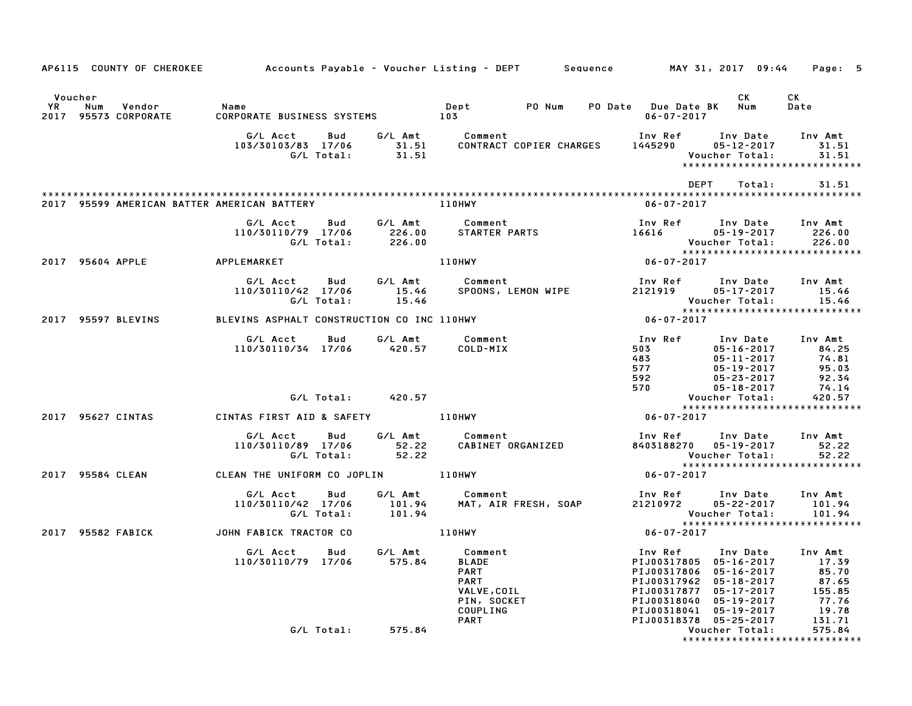|                                                        |                                                            |                  | AP6115 COUNTY OF CHEROKEE 6 Accounts Payable - Voucher Listing - DEPT 5 Sequence 6 MAY 31, 2017 09:44 Page: 5 |                                                                                                                                                                                                                                                                                                      |                           |
|--------------------------------------------------------|------------------------------------------------------------|------------------|---------------------------------------------------------------------------------------------------------------|------------------------------------------------------------------------------------------------------------------------------------------------------------------------------------------------------------------------------------------------------------------------------------------------------|---------------------------|
| Voucher<br>YR<br>Num<br>Vendor<br>2017 95573 CORPORATE | Name<br>CORPORATE BUSINESS SYSTEMS 103                     |                  | Dept PO Num PO Date Due Date BK Num                                                                           | CK<br>06-07-2017                                                                                                                                                                                                                                                                                     | CK<br>Date                |
|                                                        | G/L Acct<br>103/30103/83 17/06                             |                  |                                                                                                               | Comment                                  Inv Ref        Inv Date<br>CONTRACT COPIER CHARGES       1445290         05–12–2017<br>Voucher Total:<br>*****************************                                                                                                                      | Inv Amt<br>31.51<br>31.51 |
|                                                        |                                                            |                  |                                                                                                               | DEPT<br>Total:                                                                                                                                                                                                                                                                                       | 31.51                     |
| 2017 95599 AMERICAN BATTER AMERICAN BATTERY            |                                                            |                  | 110HWY                                                                                                        | $06 - 07 - 2017$                                                                                                                                                                                                                                                                                     |                           |
|                                                        | <b>Bud</b><br>G/L Acct<br>110/30110/79 17/06<br>G/L Total: | 226.00           | G/L Amt         Comment<br>226.00       STARTER PARTS                                                         | Voucher Total: 226.00<br>*****************************<br>06-07-2017                                                                                                                                                                                                                                 |                           |
| 2017 95604 APPLE                                       | APPLEMARKET                                                |                  | <b>110HWY</b>                                                                                                 |                                                                                                                                                                                                                                                                                                      |                           |
|                                                        | G/L Total:                                                 | 15.46            |                                                                                                               | Inv Ref      Inv Date     Inv Amt<br>Voucher Total:                                                                                                                                                                                                                                                  | 15.46<br>15.46            |
| 2017 95597 BLEVINS                                     |                                                            |                  | BLEVINS ASPHALT CONSTRUCTION CO INC 110HWY THE RESIDENT RESIDENT OF 12017                                     | *****************************                                                                                                                                                                                                                                                                        |                           |
|                                                        | G/L Acct Bud G/L Amt<br>110/30110/34 17/06 420.57          |                  | Comment<br>COLD-MIX                                                                                           | Inv Ref Inv Date Inv Amt<br>107861<br>107861<br>1077<br>105-10-2017<br>105-10-2017<br>105-10-2017<br>105-19-2017<br>105-2017<br>105-2017<br>105-2017<br>105-2017<br>105-2017<br>105-2017<br>105-2017<br>105-2017<br>105-2017<br>105-2017<br>105-2017<br>105-2017<br>105-2017<br>105-2017<br>105-2017 |                           |
|                                                        | G/L Total: 420.57                                          |                  |                                                                                                               |                                                                                                                                                                                                                                                                                                      |                           |
| 2017 95627 CINTAS                                      | CINTAS FIRST AID & SAFETY 110HWY                           |                  |                                                                                                               | $06 - 07 - 2017$                                                                                                                                                                                                                                                                                     |                           |
|                                                        | G/L Acct<br>Bud<br>110/30110/89 17/06<br>G/L Total:        | 52.22<br>52.22   | G/L Amt Comment                                                                                               | Inv Ref Inv Date Inv Amt<br>Voucher Total:                                                                                                                                                                                                                                                           | 52.22<br>52.22            |
| 2017 95584 CLEAN                                       | CLEAN THE UNIFORM CO JOPLIN 110HWY                         |                  |                                                                                                               | $06 - 07 - 2017$                                                                                                                                                                                                                                                                                     |                           |
|                                                        | G/L Acct Bud<br>110/30110/42 17/06<br>G/L Total:           | 101.94<br>101.94 | G/L Amt Comment<br>Comment<br>MAT, AIR FRESH, SOAP                                                            | Inv Ref       Inv Date     Inv Amt<br>21210972       05–22–2017       101.94<br>Voucher Total: 101.94<br>****************************                                                                                                                                                                |                           |
| 2017 95582 FABICK                                      | JOHN FABICK TRACTOR CO                                     |                  | <b>110HWY</b>                                                                                                 | $06 - 07 - 2017$                                                                                                                                                                                                                                                                                     |                           |
|                                                        | G/L Acct<br><b>Bud</b><br>110/30110/79 17/06 575.84        |                  | G/L Amt Comment<br><b>BLADE</b><br><b>PART</b><br><b>PART</b><br>VALVE, COIL<br>PIN, SOCKET<br>COUPLING       | Inv Ref<br>PIJ00317805 05-16-2017 17.39<br>PIJ00317806 05-16-2017 85.70<br>PIJ00317962 05-18-2017 87.65<br>PIJ00317877 05-17-2017 155.85<br>PIJ00318040 05-19-2017 77.76<br>PIJ00318041 05-19-2017 19.78<br>PIJ00318041 05-19-2017                                                                   | Inv Date Inv Amt<br>19.78 |
|                                                        | G/L Total:                                                 | 575.84           | <b>PART</b>                                                                                                   | PIJ00318378 05-25-2017<br>Voucher Total:                                                                                                                                                                                                                                                             | 131.71<br>575.84          |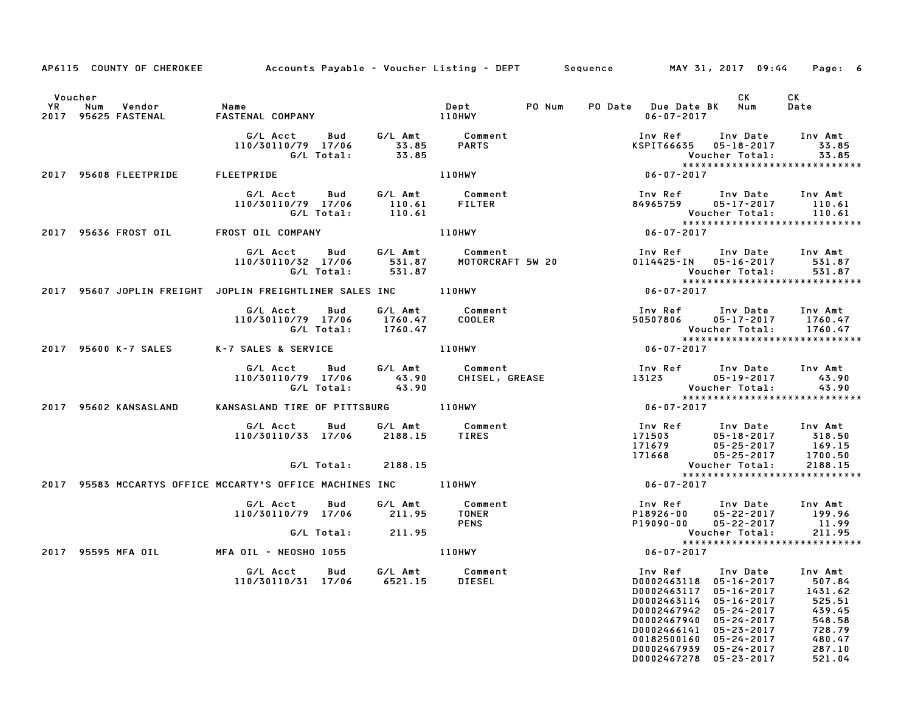|         |                                                      | AP6115 COUNTY OF CHEROKEE Accounts Payable - Voucher Listing - DEPT Sequence MAY 31, 2017 09:44 Page: 6                                                   |         |                                                                         |                                                                                                                                                                                                               |                                                                                                                                                                                                                                                        |
|---------|------------------------------------------------------|-----------------------------------------------------------------------------------------------------------------------------------------------------------|---------|-------------------------------------------------------------------------|---------------------------------------------------------------------------------------------------------------------------------------------------------------------------------------------------------------|--------------------------------------------------------------------------------------------------------------------------------------------------------------------------------------------------------------------------------------------------------|
| Voucher |                                                      |                                                                                                                                                           |         |                                                                         |                                                                                                                                                                                                               | <b>CK</b><br>CK .                                                                                                                                                                                                                                      |
|         | YR Num Vendor - Name<br>2017 95625 FASTENAL - FASTEN | FASTENAL COMPANY                                                                                                                                          |         |                                                                         |                                                                                                                                                                                                               | Date                                                                                                                                                                                                                                                   |
|         |                                                      |                                                                                                                                                           |         |                                                                         |                                                                                                                                                                                                               | Inv Ref Inv Date Inv Amt                                                                                                                                                                                                                               |
|         | 2017 95608 FLEETPRIDE FLEETPRIDE                     |                                                                                                                                                           |         | 110HWY                                                                  | $06 - 07 - 2017$                                                                                                                                                                                              |                                                                                                                                                                                                                                                        |
|         |                                                      |                                                                                                                                                           |         |                                                                         |                                                                                                                                                                                                               |                                                                                                                                                                                                                                                        |
|         |                                                      | 2017 95636 FROST OIL FROST OIL COMPANY                                                                                                                    |         | 110HWY                                                                  |                                                                                                                                                                                                               |                                                                                                                                                                                                                                                        |
|         |                                                      | G/L Total: 531.87 Voucher Total: 531.87<br>2017 95607 JOPLIN FREIGHT JOPLIN FREIGHTLINER SALES INC 110HWY 199607 2017 95607 JOPLIN FREIGHT JOPLIN FREIGHT |         |                                                                         | G/L Acct Bud G/L Amt Comment Inv Ref Inv Date Inv Amt<br>110/30110/32 17/06 531.87 MOTORCRAFT 5W 20 0114425-IN 05-16-2017 531.87<br>6/L Total: 531.87 MOTORCRAFT 5W 20 0114425-IN 05-16-2017 531.87           |                                                                                                                                                                                                                                                        |
|         |                                                      |                                                                                                                                                           |         |                                                                         |                                                                                                                                                                                                               |                                                                                                                                                                                                                                                        |
|         |                                                      |                                                                                                                                                           |         |                                                                         | 6/L Acct Bud G/L Amt Comment Inv Ref Inv Date Inv Amt<br>110/30110/79 17/06 1760.47 COOLER 50507806 05–17-2017 1760.47<br>6/L Total: 1760.47 C/L Total: 1760.47<br>7 SALES & SERVICE 110HWY 110HWY 06-07-2017 |                                                                                                                                                                                                                                                        |
|         |                                                      | 2017 95600 K-7 SALES K-7 SALES & SERVICE                                                                                                                  |         |                                                                         |                                                                                                                                                                                                               |                                                                                                                                                                                                                                                        |
|         |                                                      |                                                                                                                                                           |         |                                                                         |                                                                                                                                                                                                               |                                                                                                                                                                                                                                                        |
|         |                                                      | 2017 95602 KANSASLAND KANSASLAND TIRE OF PITTSBURG 110HWY                                                                                                 |         |                                                                         |                                                                                                                                                                                                               |                                                                                                                                                                                                                                                        |
|         |                                                      | G/L Acct Bud G/L Amt Comment<br>110/30110/33 17/06 2188.15 TIRES                                                                                          |         |                                                                         |                                                                                                                                                                                                               | 100 Ref 100 Date 100 Amt<br>171503 05-18-2017 318.50<br>171679 05-25-2017 169.15<br>171668 05-25-2017 1700.50<br>Voucher Total: 2188.15                                                                                                                |
|         |                                                      | 1/16/9<br>G/L Total: 2188.15<br>2017 95583 MCCARTYS OFFICE MCCARTY'S OFFICE MACHINES INC 110HWY 171668                                                    |         |                                                                         |                                                                                                                                                                                                               | *****************************                                                                                                                                                                                                                          |
|         |                                                      |                                                                                                                                                           |         |                                                                         |                                                                                                                                                                                                               |                                                                                                                                                                                                                                                        |
|         |                                                      | G/L Acct Bud<br>110/30110/79 17/06 211.95 TONER                                                                                                           | G/L Amt | /L Amt Comment<br>211.95 TONER<br>211.95 PENS<br>110HWY                 |                                                                                                                                                                                                               | 1nv Ref        Inv Date      Inv Amt<br>18926–00       05–22–2017        199.96<br>199090–00       05–22–2017         11.99<br>Voucher Total:               211.95                                                                                     |
|         |                                                      | G/L Total: 211.95                                                                                                                                         |         |                                                                         |                                                                                                                                                                                                               | Voucher Total: 211.95<br>****************************                                                                                                                                                                                                  |
|         |                                                      | 2017 95595 MFA OIL MFA OIL - NEOSHO 1055                                                                                                                  |         |                                                                         | $06 - 07 - 2017$                                                                                                                                                                                              |                                                                                                                                                                                                                                                        |
|         |                                                      |                                                                                                                                                           |         | G/L Acct  Bud  G/L Amt  Comment<br>110/30110/31  17/06  6521.15  DIESEL | D0002467278 05-23-2017                                                                                                                                                                                        | Inv Ref Inv Date Inv Amt<br>D0002463118 05-16-2017 507.84<br>D0002463117 05-16-2017 1431.62<br>D0002463114 05-16-2017 525.51<br>D0002467942 05-24-2017 439.45<br>D0002467940 05-24-2017 548.58<br>D0002466141 05-23-2017 728.79<br>001825001<br>521.04 |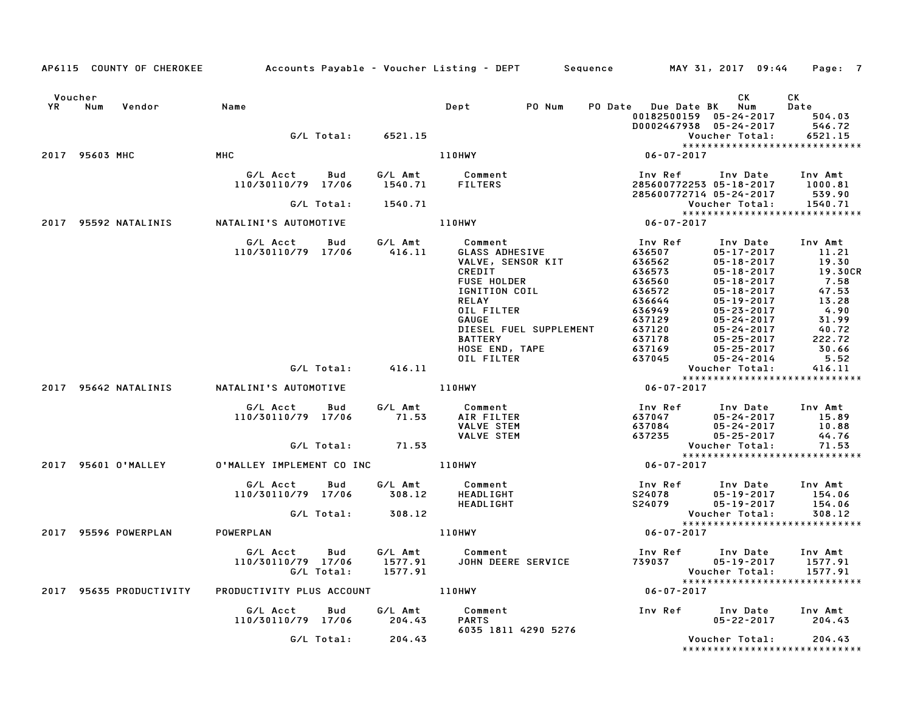|                      | AP6115 COUNTY OF CHEROKEE |                                                                                |                      | Accounts Payable – Voucher Listing – DEPT       Sequence         MAY 31, 2017  09:44                                                                                                                        |                                                                                                                                     |                                                                                                                                                                                                    | Page: 7                                                                                                             |
|----------------------|---------------------------|--------------------------------------------------------------------------------|----------------------|-------------------------------------------------------------------------------------------------------------------------------------------------------------------------------------------------------------|-------------------------------------------------------------------------------------------------------------------------------------|----------------------------------------------------------------------------------------------------------------------------------------------------------------------------------------------------|---------------------------------------------------------------------------------------------------------------------|
| Voucher<br><b>YR</b> | Num<br>Vendor             | Name                                                                           |                      | Dept PO Num                                                                                                                                                                                                 | PO Date Due Date BK Num<br>00182500159 05-24-2017<br>D0002467938 05-24-2017                                                         | CK                                                                                                                                                                                                 | CK<br>Date<br>504.03<br>546.72                                                                                      |
|                      |                           |                                                                                | G/L Total:  6521.15  |                                                                                                                                                                                                             |                                                                                                                                     | Voucher Total:                                                                                                                                                                                     | 6521.15                                                                                                             |
|                      |                           |                                                                                |                      |                                                                                                                                                                                                             |                                                                                                                                     | *****************************                                                                                                                                                                      |                                                                                                                     |
|                      | 2017 95603 MHC            | MHC                                                                            |                      | 110HWY                                                                                                                                                                                                      |                                                                                                                                     |                                                                                                                                                                                                    |                                                                                                                     |
|                      |                           | G/L Acct<br>Bud<br>110/30110/79 17/06                                          | 1540.71              | G/L Amt Comment<br><b>FILTERS</b>                                                                                                                                                                           | Inv Ket کربرد<br>285600772253 05-18-2017<br>285600772714 05-24-2017<br>Voucher Total:                                               |                                                                                                                                                                                                    | Inv Amt<br>1000.81<br>539.90                                                                                        |
|                      |                           |                                                                                | G/L Total: 1540.71   |                                                                                                                                                                                                             |                                                                                                                                     |                                                                                                                                                                                                    | 1540.71                                                                                                             |
|                      | 2017 95592 NATALINIS      | NATALINI'S AUTOMOTIVE                                                          |                      | 110HWY                                                                                                                                                                                                      | $\begin{matrix} \text{Voucher Total:} \\ \text{******************} \\ \text{06-07-2017} \end{matrix}$                               | *****************************                                                                                                                                                                      |                                                                                                                     |
|                      |                           | G/L Acct  Bud  G/L Amt  Comment<br>110/30110/79  17/06   416.11   GLASS   ADHI |                      | Comment<br>GLASS ADHESIVE<br>VALVE, SENSOR KIT<br>CREDIT<br><b>FUSE HOLDER</b><br>IGNITION COIL<br><b>RELAY</b><br>OIL FILTER<br>GAUGE<br>DIESEL FUEL SUPPLEMENT<br>BATTERY<br>HOSE END, TAPE<br>OIL FILTER | Inv Ref<br>636507<br>636562<br>636573<br>636560<br>636572<br>636644<br>636949<br>637129<br>637120<br>637178<br>$-37169$<br>$637045$ | Inv Date<br>$05 - 17 - 2017$<br>05-18-2017<br>$05 - 18 - 2017$<br>$05 - 18 - 2017$<br>05-18-2017<br>05-19-2017<br>05-23-2017<br>05-24-2017<br>05-24-2017<br>05-25-2017<br>05-25-2017<br>05-24-2014 | Inv Amt<br>11.21<br>19.30<br>19.30CR<br>7.58<br>47.53<br>13.28<br>4.90<br>31.99<br>40.72<br>222.72<br>30.66<br>5.52 |
|                      |                           |                                                                                | G/L Total: 416.11    |                                                                                                                                                                                                             | Vouc<br>﴿ ٭ ٭ ٭ ٭<br>102-07-2017                                                                                                    | Voucher Total:<br>******************************                                                                                                                                                   | 416.11                                                                                                              |
|                      |                           | 2017 95642 NATALINIS NATALINI'S AUTOMOTIVE                                     |                      |                                                                                                                                                                                                             |                                                                                                                                     |                                                                                                                                                                                                    |                                                                                                                     |
|                      |                           | G/L Acct Bud<br>110/30110/79 17/06                                             | 71.53                |                                                                                                                                                                                                             | Inv Ref                                                                                                                             | Inv Date<br>$05 - 24 - 2017$<br>$05 - 24 - 2017$<br>05-25-2017                                                                                                                                     | Inv Amt<br>15.89<br>10.88<br>44.76                                                                                  |
|                      |                           |                                                                                | $G/L$ Total: $71.53$ |                                                                                                                                                                                                             |                                                                                                                                     | Voucher Total:<br>*****************************                                                                                                                                                    | 71.53                                                                                                               |
|                      | 2017 95601 O'MALLEY       | 0'MALLEY IMPLEMENT CO INC 110HWY                                               |                      |                                                                                                                                                                                                             |                                                                                                                                     |                                                                                                                                                                                                    |                                                                                                                     |
|                      |                           | G/L Acct<br>Bud<br>110/30110/79 17/06 308.12<br>G/L Total: 308.12              |                      |                                                                                                                                                                                                             | Inv Ref      Inv Date     Inv Amt                                                                                                   | $05 - 19 - 2017$                                                                                                                                                                                   | 154.06<br>154.06                                                                                                    |
|                      |                           |                                                                                |                      |                                                                                                                                                                                                             | Vouc<br>*****<br>06-07-2017                                                                                                         | Voucher Total:<br>*****************************                                                                                                                                                    | 308.12                                                                                                              |
|                      | 2017 95596 POWERPLAN      | <b>POWERPLAN</b>                                                               |                      | 110HWY                                                                                                                                                                                                      |                                                                                                                                     |                                                                                                                                                                                                    |                                                                                                                     |
|                      |                           | G/L Acct<br>Bud<br>110/30110/79 17/06<br>G/L Total:                            | 1577.91              |                                                                                                                                                                                                             |                                                                                                                                     |                                                                                                                                                                                                    | Inv Amt<br>1577.91                                                                                                  |
|                      | 2017 95635 PRODUCTIVITY   | PRODUCTIVITY PLUS ACCOUNT 110HWY                                               |                      |                                                                                                                                                                                                             |                                                                                                                                     |                                                                                                                                                                                                    |                                                                                                                     |
|                      |                           | G/L Acct<br>110/30110/79 17/06 204.43                                          | <b>Bud</b>           | G/L Amt Comment<br><b>PARTS</b><br>6035 1811 4290 5276                                                                                                                                                      |                                                                                                                                     | Inv Ref Inv Date Inv Amt<br>05-22-2017                                                                                                                                                             | 204.43                                                                                                              |
|                      |                           |                                                                                | G/L Total: 204.43    |                                                                                                                                                                                                             |                                                                                                                                     | Voucher Total:<br>*****************************                                                                                                                                                    | 204.43                                                                                                              |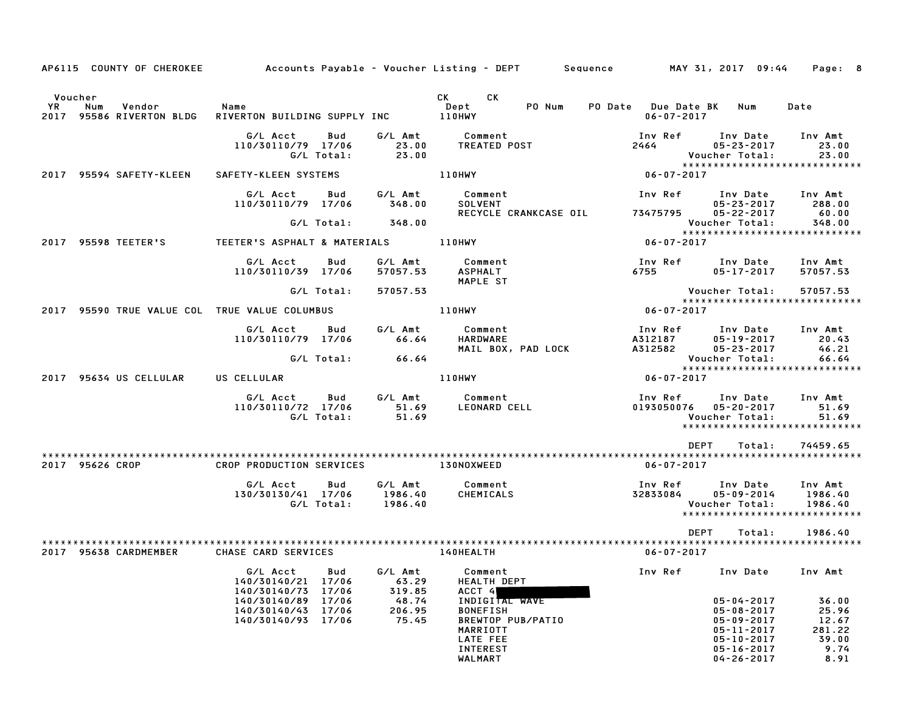| AP6115 COUNTY OF CHEROKEE                       |                                                                         |                               | Accounts Payable – Voucher Listing – DEPT – Sequence – MAY 31, 2017 09:44                                                                                                                                                            |                                                |                                                                                                                              | Page: 8                                                        |
|-------------------------------------------------|-------------------------------------------------------------------------|-------------------------------|--------------------------------------------------------------------------------------------------------------------------------------------------------------------------------------------------------------------------------------|------------------------------------------------|------------------------------------------------------------------------------------------------------------------------------|----------------------------------------------------------------|
| Voucher                                         |                                                                         |                               | CK<br>CK the control of the control of the control of the control of the control of the control of the control of the control of the control of the control of the control of the control of the control of the control of the contr |                                                |                                                                                                                              |                                                                |
| YR<br>Num<br>Vendor<br>2017 95586 RIVERTON BLDG | Name<br>RIVERTON BUILDING SUPPLY INC                                    |                               | PO Num<br>Dept<br>$110$ HWY                                                                                                                                                                                                          | PO Date Due Date BK Num<br>$06 - 07 - 2017$    |                                                                                                                              | Date                                                           |
|                                                 | G/L Acct<br>Bud<br>110/30110/79 17/06<br>G/L Total:                     | G/L Amt<br>23.00<br>23.00     | Comment<br><b>TREATED POST</b>                                                                                                                                                                                                       | Inv Ref<br>2464                                | Inv Date<br>$05 - 23 - 2017$<br>Voucher Total:                                                                               | Inv Amt<br>23.00<br>23.00                                      |
| 2017 95594 SAFETY-KLEEN                         | SAFETY-KLEEN SYSTEMS                                                    |                               | 110HWY                                                                                                                                                                                                                               | 06-07-2017                                     |                                                                                                                              | *****************************                                  |
|                                                 | G/L Acct<br>Bud<br>110/30110/79 17/06                                   | G/L Amt<br>348.00             | Comment<br><b>SOLVENT</b><br>RECYCLE CRANKCASE OIL                                                                                                                                                                                   | Inv Ref<br>73475795 05-22-2017                 | Inv Date Inv Amt<br>$05 - 23 - 2017$                                                                                         | 288.00<br>60.00                                                |
|                                                 | G/L Total:                                                              | 348.00                        |                                                                                                                                                                                                                                      |                                                | Voucher Total:                                                                                                               | 348.00<br>*****************************                        |
| 2017 95598 TEETER'S                             | TEETER'S ASPHALT & MATERIALS 110HWY                                     |                               |                                                                                                                                                                                                                                      | 06-07-2017                                     |                                                                                                                              |                                                                |
|                                                 | G/L Acct<br>Bud<br>110/30110/39 17/06                                   | G/L Amt<br>57057.53           | Comment<br><b>ASPHALT</b><br>MAPLE ST                                                                                                                                                                                                | Inv Ref<br>6755 - 1                            | Inv Date<br>05-17-2017                                                                                                       | Inv Amt<br>57057.53                                            |
|                                                 | G/L Total:                                                              | 57057.53                      |                                                                                                                                                                                                                                      |                                                | Voucher Total:                                                                                                               | 57057.53                                                       |
| 2017 95590 TRUE VALUE COL TRUE VALUE COLUMBUS   |                                                                         |                               | 110HWY                                                                                                                                                                                                                               | 06-07-2017                                     |                                                                                                                              | *****************************                                  |
|                                                 | G/L Acct<br>Bud<br>110/30110/79 17/06                                   | G/L Amt<br>66.64              | Comment<br><b>HARDWARE</b><br>MAIL BOX, PAD LOCK                                                                                                                                                                                     | Inv Ref<br>A312187<br>A312582                  | Inv Date Inv Amt<br>05-19-2017<br>05-23-2017                                                                                 | 20.43<br>46.21                                                 |
|                                                 | G/L Total:                                                              | 66.64                         |                                                                                                                                                                                                                                      |                                                | Voucher Total:                                                                                                               | 66.64<br>*****************************                         |
| 2017 95634 US CELLULAR                          | US CELLULAR                                                             |                               | 110HWY                                                                                                                                                                                                                               | 06-07-2017                                     |                                                                                                                              |                                                                |
|                                                 | G/L Acct<br>Bud<br>110/30110/72 17/06<br>G/L Total:                     | G/L Amt<br>51.69<br>51.69     | Comment<br>LEONARD CELL                                                                                                                                                                                                              | Inv Ref      Inv Date<br>0193050076 05-20-2017 | Voucher Total:                                                                                                               | Inv Amt<br>51.69<br>51.69<br>*****************************     |
|                                                 |                                                                         |                               |                                                                                                                                                                                                                                      | <b>DEPT</b>                                    | Total:                                                                                                                       | 74459.65                                                       |
| 2017 95626 CROP                                 | CROP PRODUCTION SERVICES                                                |                               | 130NOXWEED                                                                                                                                                                                                                           | $06 - 07 - 2017$                               |                                                                                                                              |                                                                |
|                                                 | G/L Acct<br>Bud<br>130/30130/41 17/06<br>G/L Total:                     | G/L Amt<br>1986.40<br>1986.40 | Comment<br>CHEMICALS                                                                                                                                                                                                                 | Inv Ref<br>32833084                            | Inv Date<br>05-09-2014<br>Voucher Total:                                                                                     | Inv Amt<br>1986.40<br>1986.40<br>***************************** |
|                                                 |                                                                         |                               |                                                                                                                                                                                                                                      | <b>DEPT</b>                                    | Total:                                                                                                                       | 1986.40                                                        |
| 2017 95638 CARDMEMBER                           | CHASE CARD SERVICES                                                     |                               | 140HEALTH                                                                                                                                                                                                                            | $06 - 07 - 2017$                               |                                                                                                                              |                                                                |
|                                                 | G/L Acct<br>Bud<br>140/30140/21<br>17/06<br>140/30140/73<br>17/06       | G/L Amt<br>63.29<br>319.85    | Comment<br><b>HEALTH DEPT</b><br>ACCT 4                                                                                                                                                                                              | Inv Ref                                        | Inv Date                                                                                                                     | Inv Amt                                                        |
|                                                 | 140/30140/89<br>17/06<br>17/06<br>140/30140/43<br>140/30140/93<br>17/06 | 48.74<br>206.95<br>75.45      | INDIGITAL WAVE<br><b>BONEFISH</b><br>BREWTOP PUB/PATIO<br>MARRIOTT<br><b>LATE FEE</b><br><b>INTEREST</b><br>WALMART                                                                                                                  |                                                | $05 - 04 - 2017$<br>$05 - 08 - 2017$<br>05-09-2017<br>$05 - 11 - 2017$<br>$05 - 10 - 2017$<br>05-16-2017<br>$04 - 26 - 2017$ | 36.00<br>25.96<br>12.67<br>281.22<br>39.00<br>9.74<br>8.91     |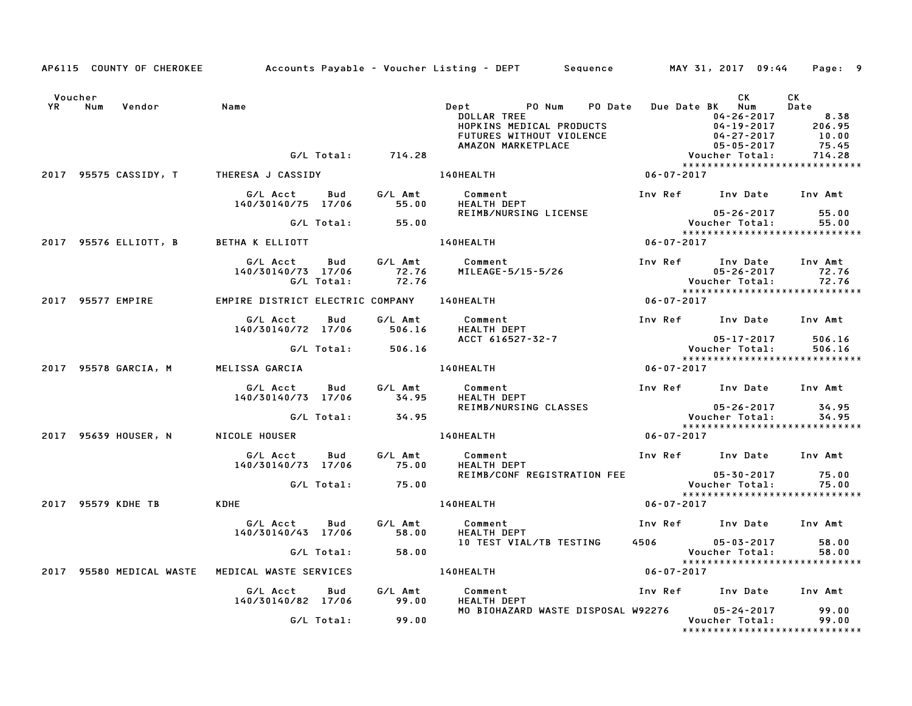|                      | AP6115 COUNTY OF CHEROKEE                       |                                            |                   |                      | Accounts Payable – Voucher Listing – DEPT         Sequence           MAY 31, 2017  09:44                                                                                                                                                                                                      |                  |                                                         | Page: 9                                           |
|----------------------|-------------------------------------------------|--------------------------------------------|-------------------|----------------------|-----------------------------------------------------------------------------------------------------------------------------------------------------------------------------------------------------------------------------------------------------------------------------------------------|------------------|---------------------------------------------------------|---------------------------------------------------|
| Voucher<br><b>YR</b> | Vendor<br>Num                                   | Name                                       |                   |                      | <b>PO Date</b><br><b>Dept</b><br>PO Num<br>TOOLLAR TREE<br>HOPKINS MEDICAL PRODUCTS<br>FUTURES WITHOUT VIOLENCE<br>AMAZON MARKETPLACE<br>AMAZON MARKETPLACE<br>CONFINE TOTAL: 714.28<br>Voucher Total: 714.28<br>Voucher Total: 714.28<br>Voucher Total: 714.28<br>Voucher Total: 714.28<br>V |                  | СK<br>Due Date BK Num                                   | CK<br>Date<br>8.38                                |
|                      |                                                 |                                            |                   | G/L Total: 714.28    |                                                                                                                                                                                                                                                                                               |                  |                                                         |                                                   |
|                      | 2017 95575 CASSIDY, T THERESA J CASSIDY         |                                            |                   |                      | 140HEALTH                                                                                                                                                                                                                                                                                     | $06 - 07 - 2017$ |                                                         |                                                   |
|                      |                                                 | G/L Acct<br>140/30140/75 17/06             |                   | Bud G/L Amt<br>55.00 | Comment<br>HEALTH DEPT                                                                                                                                                                                                                                                                        |                  | Inv Ref Inv Date Inv Amt                                |                                                   |
|                      |                                                 |                                            |                   | G/L Total: 55.00     | REIMB/NURSING LICENSE                                                                                                                                                                                                                                                                         |                  | 05-26-2017<br>05-26-2017<br>.Voucher Total<br>.vouch    | 55.00<br>55.00                                    |
|                      | 2017 95576 ELLIOTT, B BETHA K ELLIOTT           |                                            |                   |                      | 140HEALTH                                                                                                                                                                                                                                                                                     | $06 - 07 - 2017$ |                                                         |                                                   |
|                      |                                                 | G/L Acct<br>140/30140/73 17/06             | Bud<br>G/L Total: | 72.76<br>72.76       | G/L Amt Comment<br>MILEAGE-5/15-5/26                                                                                                                                                                                                                                                          |                  | Inv Ref Inv Date                                        | Inv Amt                                           |
|                      | 2017 95577 EMPIRE                               | EMPIRE DISTRICT ELECTRIC COMPANY 140HEALTH |                   |                      | $06 - 07 - 2017$                                                                                                                                                                                                                                                                              |                  |                                                         |                                                   |
|                      |                                                 | G/L Acct<br>140/30140/72 17/06             | Bud               | G/L Amt<br>506.16    | Comment<br><b>HEALTH DEPT</b>                                                                                                                                                                                                                                                                 |                  | Inv Ref Inv Date Inv Amt                                |                                                   |
|                      |                                                 |                                            |                   | G/L Total: 506.16    | ACCT 616527-32-7                                                                                                                                                                                                                                                                              |                  | $05 - 17 - 2017$<br>Voucher Total:                      | 506.16<br>506.16                                  |
|                      |                                                 |                                            |                   |                      |                                                                                                                                                                                                                                                                                               |                  |                                                         | *****************************                     |
|                      | 2017 95578 GARCIA, M                            | MELISSA GARCIA                             |                   |                      | <b>140HEALTH</b>                                                                                                                                                                                                                                                                              | $06 - 07 - 2017$ |                                                         |                                                   |
|                      |                                                 | G/L Acct<br>140/30140/73 17/06 34.95       | Bud               | G/L Amt              | Comment<br><b>HEALTH DEPT</b>                                                                                                                                                                                                                                                                 |                  | Inv Ref Inv Date Inv Amt                                |                                                   |
|                      |                                                 |                                            |                   | G/L Total: 34.95     | MEALIN DELI<br>REIMB/NURSING CLASSES (D5-26-2017<br>Voucher Total:                                                                                                                                                                                                                            |                  |                                                         | $05 - 26 - 2017$ 34.95<br>34.95                   |
|                      | 2017 95639 HOUSER, N                            | NICOLE HOUSER                              |                   |                      | $06 - 07 - 2017$<br><b>140HEALTH</b>                                                                                                                                                                                                                                                          |                  |                                                         | *****************************                     |
|                      |                                                 |                                            |                   |                      |                                                                                                                                                                                                                                                                                               |                  |                                                         |                                                   |
|                      |                                                 | G/L Acct<br>140/30140/73 17/06 75.00       |                   | Bud G/L Amt          | Comment<br><b>HEALTH DEPT</b>                                                                                                                                                                                                                                                                 |                  | Inv Ref      Inv Date     Inv Amt                       |                                                   |
|                      |                                                 |                                            |                   | G/L Total: 75.00     | REIMB/CONF REGISTRATION FEE 05-30-2017<br>Voucher Total:                                                                                                                                                                                                                                      |                  |                                                         | 75.00<br>75.00                                    |
|                      | 2017 95579 KDHE TB                              | KDHE                                       |                   |                      | 140HEALTH                                                                                                                                                                                                                                                                                     | 06-07-2017       |                                                         |                                                   |
|                      |                                                 | G/L Acct<br>140/30140/43 17/06             | Bud               | G/L Amt<br>58.00     | Comment<br>Comment<br>HEALTH DEPT<br>10 TTST                                                                                                                                                                                                                                                  |                  | Inv Ref      Inv Date     Inv Amt                       |                                                   |
|                      |                                                 |                                            | G/L Total:        | 58.00                | 10 TEST VIAL/TB TESTING                                                                                                                                                                                                                                                                       |                  | 4506 - 05-03-2017<br>:Voucher Total<br>$05 - 03 - 2017$ | 58.00<br>58.00                                    |
|                      | 2017 95580 MEDICAL WASTE MEDICAL WASTE SERVICES |                                            |                   |                      | 140HEALTH                                                                                                                                                                                                                                                                                     | $06 - 07 - 2017$ |                                                         |                                                   |
|                      |                                                 |                                            |                   |                      |                                                                                                                                                                                                                                                                                               |                  |                                                         |                                                   |
|                      |                                                 | G/L Acct<br>140/30140/82 17/06             | <b>Bud</b>        | 99.00                | G/L Amt Comment<br><b>HEALTH DEPT</b>                                                                                                                                                                                                                                                         |                  | Inv Ref      Inv Date     Inv Amt                       |                                                   |
|                      |                                                 |                                            | G/L Total:        | 99.00                | MO BIOHAZARD WASTE DISPOSAL W92276 05-24-2017                                                                                                                                                                                                                                                 |                  | Voucher Total:                                          | 99.00<br>99.00<br>******************************* |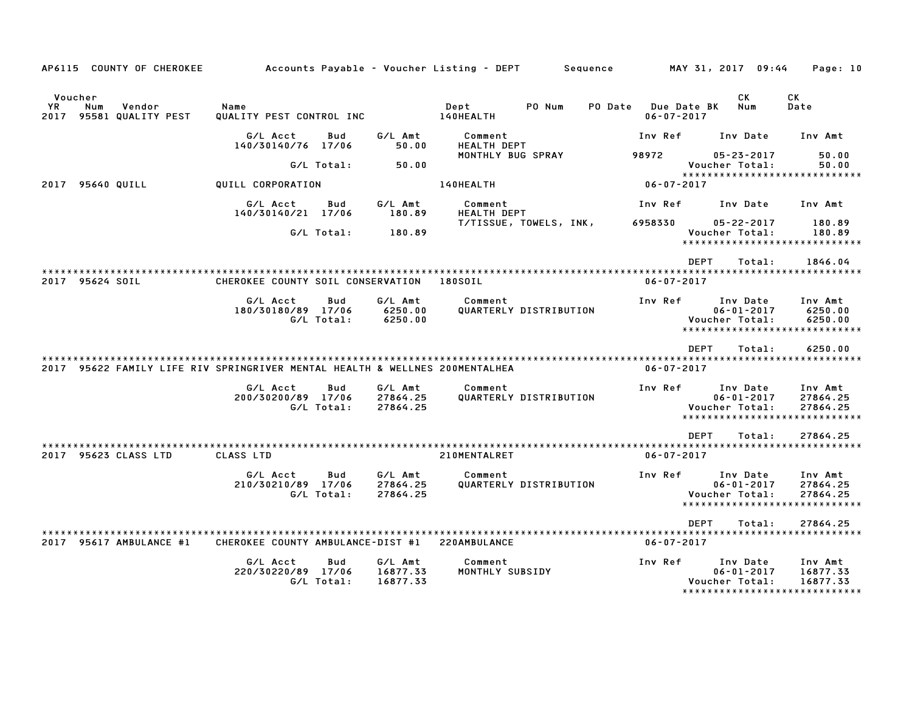|             | AP6115 COUNTY OF CHEROKEE                                                   |                                   |                          |                                 | Accounts Payable - Voucher Listing - DEPT | Sequence       | MAY 31, 2017 09:44                                                                | Page: 10                        |
|-------------|-----------------------------------------------------------------------------|-----------------------------------|--------------------------|---------------------------------|-------------------------------------------|----------------|-----------------------------------------------------------------------------------|---------------------------------|
|             | Voucher                                                                     |                                   |                          |                                 |                                           |                | CK.                                                                               | СK                              |
| YR.<br>2017 | Num<br>Vendor<br>95581 QUALITY PEST                                         | Name<br>QUALITY PEST CONTROL INC  |                          |                                 | PO Num<br>Dept<br>140HEALTH               | <b>PO Date</b> | Due Date BK<br>Num<br>$06 - 07 - 2017$                                            | Date                            |
|             |                                                                             | G/L Acct<br>140/30140/76 17/06    | <b>Bud</b>               | G/L Amt<br>50.00                | Comment<br><b>HEALTH DEPT</b>             | Inv Ref        | Inv Date                                                                          | Inv Amt                         |
|             |                                                                             |                                   | G/L Total:               | 50.00                           | MONTHLY BUG SPRAY                         | 98972          | $05 - 23 - 2017$<br>Voucher Total:<br>*****************************               | 50.00<br>50.00                  |
| 2017        | 95640 QUILL                                                                 | QUILL CORPORATION                 |                          |                                 | 140HEALTH                                 |                | $06 - 07 - 2017$                                                                  |                                 |
|             |                                                                             | G/L Acct<br>140/30140/21          | Bud<br>17/06             | G/L Amt<br>180.89               | Comment<br><b>HEALTH DEPT</b>             | Inv Ref        | Inv Date                                                                          | Inv Amt                         |
|             |                                                                             |                                   | G/L Total:               | 180.89                          | T/TISSUE, TOWELS, INK,                    | 6958330        | $05 - 22 - 2017$<br>Voucher Total:<br>*****************************               | 180.89<br>180.89                |
|             |                                                                             |                                   |                          |                                 |                                           |                | <b>DEPT</b><br>Total:                                                             | 1846.04                         |
|             | 2017 95624 SOIL                                                             | CHEROKEE COUNTY SOIL CONSERVATION |                          |                                 | 180SOIL                                   |                | $06 - 07 - 2017$                                                                  |                                 |
|             |                                                                             | G/L Acct<br>180/30180/89 17/06    | Bud<br>G/L Total:        | G/L Amt<br>6250.00<br>6250.00   | Comment<br>QUARTERLY DISTRIBUTION         | Inv Ref        | Inv Date<br>$06 - 01 - 2017$<br>Voucher Total:                                    | Inv Amt<br>6250.00<br>6250.00   |
|             |                                                                             |                                   |                          |                                 |                                           |                | ******************************                                                    |                                 |
|             |                                                                             |                                   |                          |                                 |                                           |                | <b>DEPT</b><br>Total:                                                             | 6250.00                         |
|             | 2017 95622 FAMILY LIFE RIV SPRINGRIVER MENTAL HEALTH & WELLNES 200MENTALHEA |                                   |                          |                                 |                                           |                | $06 - 07 - 2017$                                                                  |                                 |
|             |                                                                             | G/L Acct<br>200/30200/89 17/06    | <b>Bud</b><br>G/L Total: | G/L Amt<br>27864.25<br>27864.25 | Comment<br>QUARTERLY DISTRIBUTION         | Inv Ref        | Inv Date<br>$06 - 01 - 2017$<br>Voucher Total:<br>******************************  | Inv Amt<br>27864.25<br>27864.25 |
|             |                                                                             |                                   |                          |                                 |                                           |                | <b>DEPT</b><br>Total:                                                             | 27864.25                        |
|             | 2017 95623 CLASS LTD                                                        | CLASS LTD                         |                          |                                 | 210MENTALRET                              |                | $06 - 07 - 2017$                                                                  |                                 |
|             |                                                                             | G/L Acct<br>210/30210/89 17/06    | <b>Bud</b><br>G/L Total: | G/L Amt<br>27864.25<br>27864.25 | Comment<br>QUARTERLY DISTRIBUTION         | Inv Ref        | Inv Date<br>$06 - 01 - 2017$<br>Voucher Total:<br>*****************************   | Inv Amt<br>27864.25<br>27864.25 |
|             |                                                                             |                                   |                          |                                 |                                           |                | <b>DEPT</b><br>Total:                                                             | 27864.25                        |
| 2017        | 95617 AMBULANCE #1                                                          | CHEROKEE COUNTY AMBULANCE-DIST #1 |                          |                                 | 220AMBULANCE                              |                | $06 - 07 - 2017$                                                                  |                                 |
|             |                                                                             | G/L Acct<br>220/30220/89 17/06    | Bud<br>G/L Total:        | G/L Amt<br>16877.33<br>16877.33 | Comment<br>MONTHLY SUBSIDY                | Inv Ref        | Inv Date<br>$06 - 01 - 2017$<br>Voucher Total:<br>******************************* | Inv Amt<br>16877.33<br>16877.33 |